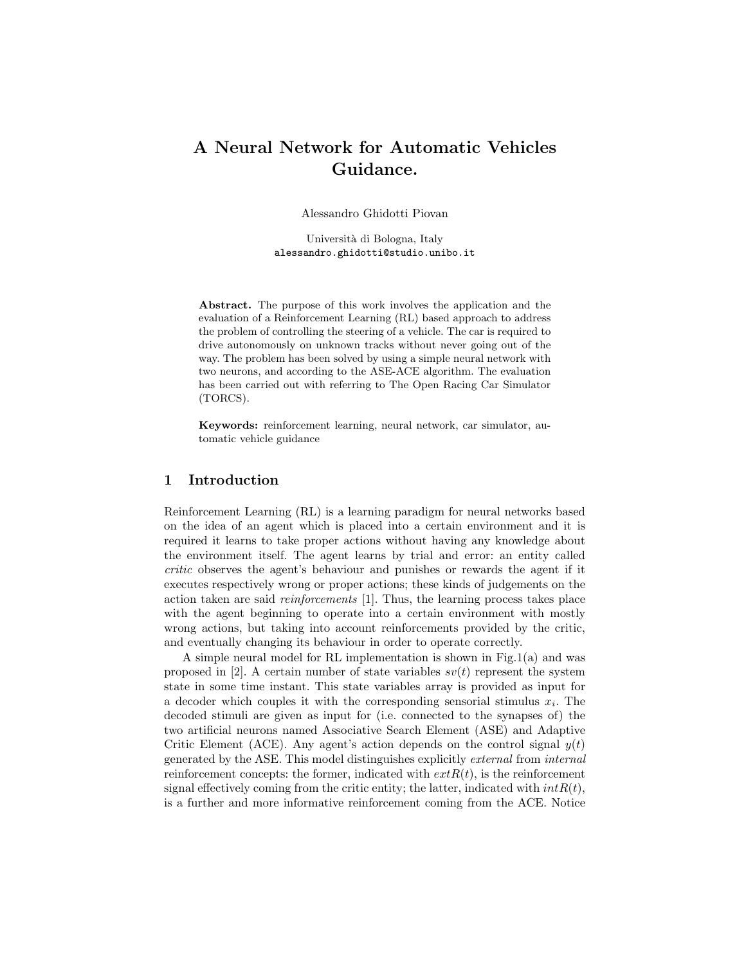# A Neural Network for Automatic Vehicles Guidance.

Alessandro Ghidotti Piovan

Università di Bologna, Italy alessandro.ghidotti@studio.unibo.it

Abstract. The purpose of this work involves the application and the evaluation of a Reinforcement Learning (RL) based approach to address the problem of controlling the steering of a vehicle. The car is required to drive autonomously on unknown tracks without never going out of the way. The problem has been solved by using a simple neural network with two neurons, and according to the ASE-ACE algorithm. The evaluation has been carried out with referring to The Open Racing Car Simulator (TORCS).

Keywords: reinforcement learning, neural network, car simulator, automatic vehicle guidance

### 1 Introduction

Reinforcement Learning (RL) is a learning paradigm for neural networks based on the idea of an agent which is placed into a certain environment and it is required it learns to take proper actions without having any knowledge about the environment itself. The agent learns by trial and error: an entity called critic observes the agent's behaviour and punishes or rewards the agent if it executes respectively wrong or proper actions; these kinds of judgements on the action taken are said reinforcements [1]. Thus, the learning process takes place with the agent beginning to operate into a certain environment with mostly wrong actions, but taking into account reinforcements provided by the critic, and eventually changing its behaviour in order to operate correctly.

A simple neural model for RL implementation is shown in Fig.1(a) and was proposed in [2]. A certain number of state variables  $sv(t)$  represent the system state in some time instant. This state variables array is provided as input for a decoder which couples it with the corresponding sensorial stimulus  $x_i$ . The decoded stimuli are given as input for (i.e. connected to the synapses of) the two artificial neurons named Associative Search Element (ASE) and Adaptive Critic Element (ACE). Any agent's action depends on the control signal  $y(t)$ generated by the ASE. This model distinguishes explicitly external from internal reinforcement concepts: the former, indicated with  $extR(t)$ , is the reinforcement signal effectively coming from the critic entity; the latter, indicated with  $intR(t)$ , is a further and more informative reinforcement coming from the ACE. Notice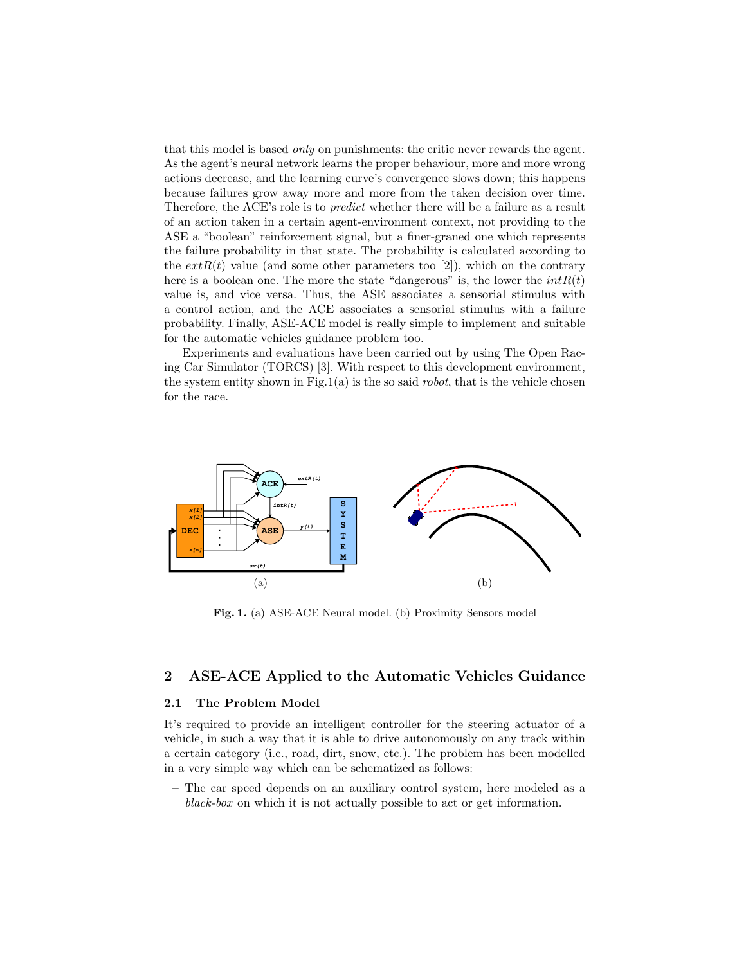that this model is based only on punishments: the critic never rewards the agent. As the agent's neural network learns the proper behaviour, more and more wrong actions decrease, and the learning curve's convergence slows down; this happens because failures grow away more and more from the taken decision over time. Therefore, the ACE's role is to predict whether there will be a failure as a result of an action taken in a certain agent-environment context, not providing to the ASE a "boolean" reinforcement signal, but a finer-graned one which represents the failure probability in that state. The probability is calculated according to the  $extR(t)$  value (and some other parameters too [2]), which on the contrary here is a boolean one. The more the state "dangerous" is, the lower the  $intR(t)$ value is, and vice versa. Thus, the ASE associates a sensorial stimulus with a control action, and the ACE associates a sensorial stimulus with a failure probability. Finally, ASE-ACE model is really simple to implement and suitable for the automatic vehicles guidance problem too.

Experiments and evaluations have been carried out by using The Open Racing Car Simulator (TORCS) [3]. With respect to this development environment, the system entity shown in Fig.1(a) is the so said *robot*, that is the vehicle chosen for the race.



Fig. 1. (a) ASE-ACE Neural model. (b) Proximity Sensors model

## 2 ASE-ACE Applied to the Automatic Vehicles Guidance

#### 2.1 The Problem Model

It's required to provide an intelligent controller for the steering actuator of a vehicle, in such a way that it is able to drive autonomously on any track within a certain category (i.e., road, dirt, snow, etc.). The problem has been modelled in a very simple way which can be schematized as follows:

– The car speed depends on an auxiliary control system, here modeled as a black-box on which it is not actually possible to act or get information.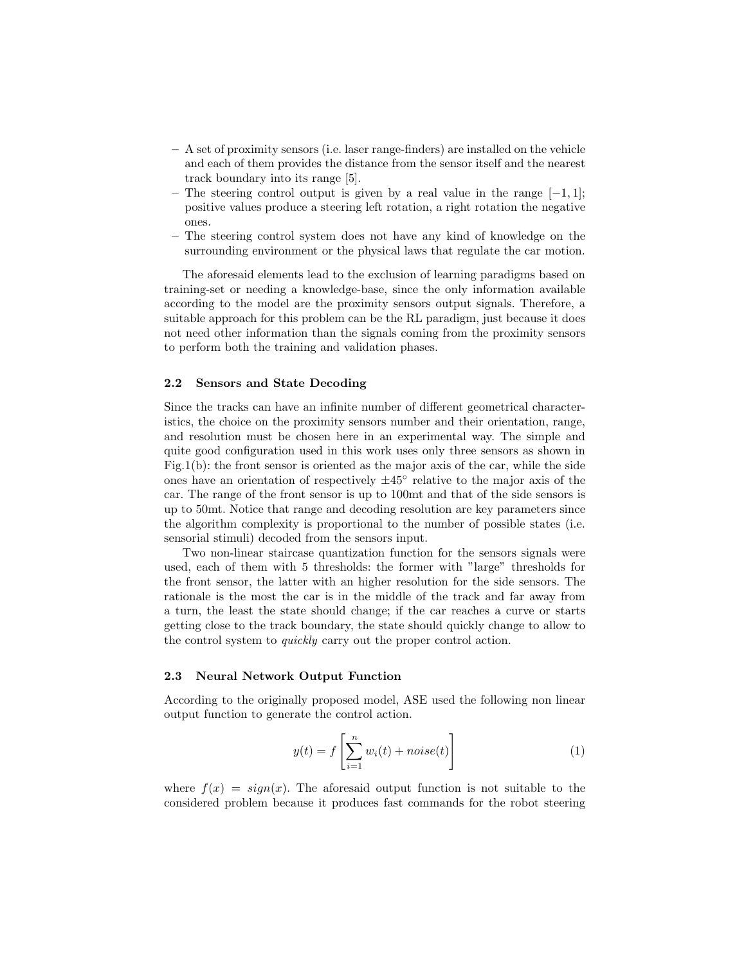- A set of proximity sensors (i.e. laser range-finders) are installed on the vehicle and each of them provides the distance from the sensor itself and the nearest track boundary into its range [5].
- The steering control output is given by a real value in the range  $[-1, 1]$ ; positive values produce a steering left rotation, a right rotation the negative ones.
- The steering control system does not have any kind of knowledge on the surrounding environment or the physical laws that regulate the car motion.

The aforesaid elements lead to the exclusion of learning paradigms based on training-set or needing a knowledge-base, since the only information available according to the model are the proximity sensors output signals. Therefore, a suitable approach for this problem can be the RL paradigm, just because it does not need other information than the signals coming from the proximity sensors to perform both the training and validation phases.

#### 2.2 Sensors and State Decoding

Since the tracks can have an infinite number of different geometrical characteristics, the choice on the proximity sensors number and their orientation, range, and resolution must be chosen here in an experimental way. The simple and quite good configuration used in this work uses only three sensors as shown in Fig.1(b): the front sensor is oriented as the major axis of the car, while the side ones have an orientation of respectively  $\pm 45^{\circ}$  relative to the major axis of the car. The range of the front sensor is up to 100mt and that of the side sensors is up to 50mt. Notice that range and decoding resolution are key parameters since the algorithm complexity is proportional to the number of possible states (i.e. sensorial stimuli) decoded from the sensors input.

Two non-linear staircase quantization function for the sensors signals were used, each of them with 5 thresholds: the former with "large" thresholds for the front sensor, the latter with an higher resolution for the side sensors. The rationale is the most the car is in the middle of the track and far away from a turn, the least the state should change; if the car reaches a curve or starts getting close to the track boundary, the state should quickly change to allow to the control system to quickly carry out the proper control action.

#### 2.3 Neural Network Output Function

According to the originally proposed model, ASE used the following non linear output function to generate the control action.

$$
y(t) = f\left[\sum_{i=1}^{n} w_i(t) + noise(t)\right]
$$
 (1)

where  $f(x) = sign(x)$ . The aforesaid output function is not suitable to the considered problem because it produces fast commands for the robot steering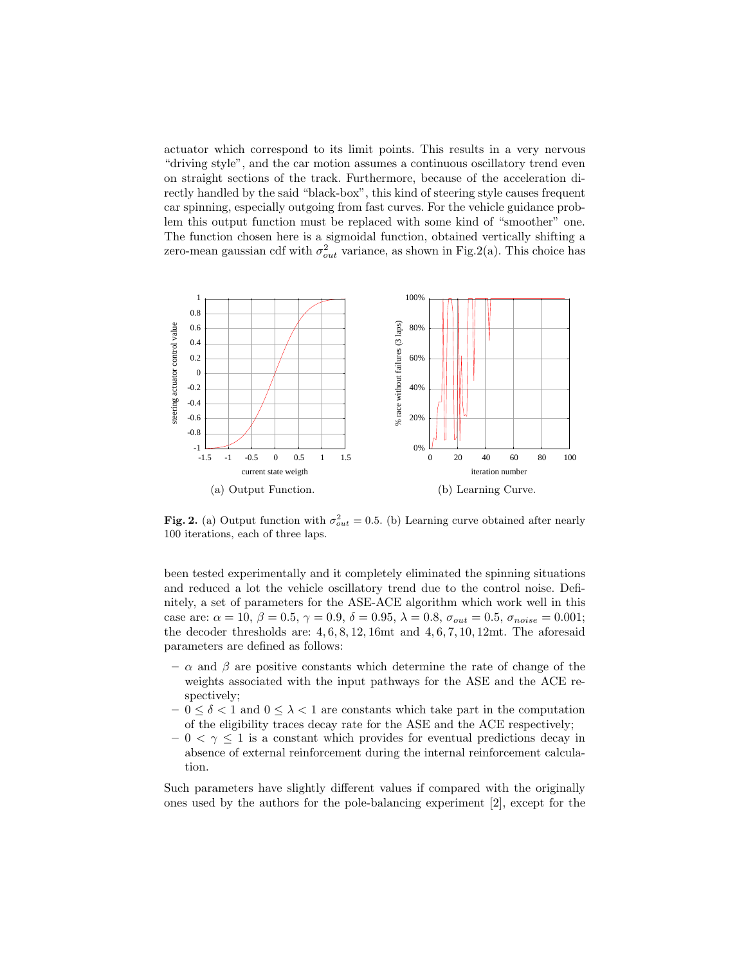actuator which correspond to its limit points. This results in a very nervous "driving style", and the car motion assumes a continuous oscillatory trend even on straight sections of the track. Furthermore, because of the acceleration directly handled by the said "black-box", this kind of steering style causes frequent car spinning, especially outgoing from fast curves. For the vehicle guidance problem this output function must be replaced with some kind of "smoother" one. The function chosen here is a sigmoidal function, obtained vertically shifting a zero-mean gaussian cdf with  $\sigma_{out}^2$  variance, as shown in Fig.2(a). This choice has



Fig. 2. (a) Output function with  $\sigma_{out}^2 = 0.5$ . (b) Learning curve obtained after nearly 100 iterations, each of three laps.

been tested experimentally and it completely eliminated the spinning situations and reduced a lot the vehicle oscillatory trend due to the control noise. Definitely, a set of parameters for the ASE-ACE algorithm which work well in this case are:  $\alpha = 10, \beta = 0.5, \gamma = 0.9, \delta = 0.95, \lambda = 0.8, \sigma_{out} = 0.5, \sigma_{noise} = 0.001;$ the decoder thresholds are: 4, 6, 8, 12, 16mt and 4, 6, 7, 10, 12mt. The aforesaid parameters are defined as follows:

- $-\alpha$  and  $\beta$  are positive constants which determine the rate of change of the weights associated with the input pathways for the ASE and the ACE respectively;
- $-0 \leq \delta < 1$  and  $0 \leq \lambda < 1$  are constants which take part in the computation of the eligibility traces decay rate for the ASE and the ACE respectively;
- $-0 < \gamma \leq 1$  is a constant which provides for eventual predictions decay in absence of external reinforcement during the internal reinforcement calculation.

Such parameters have slightly different values if compared with the originally ones used by the authors for the pole-balancing experiment [2], except for the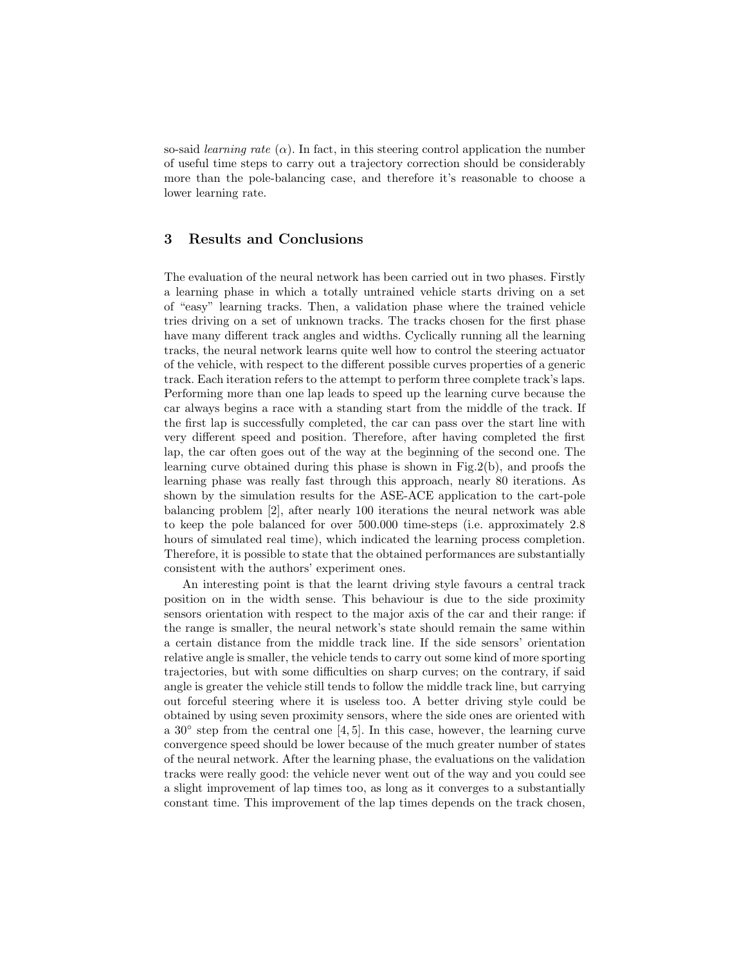so-said *learning rate*  $(\alpha)$ . In fact, in this steering control application the number of useful time steps to carry out a trajectory correction should be considerably more than the pole-balancing case, and therefore it's reasonable to choose a lower learning rate.

## 3 Results and Conclusions

The evaluation of the neural network has been carried out in two phases. Firstly a learning phase in which a totally untrained vehicle starts driving on a set of "easy" learning tracks. Then, a validation phase where the trained vehicle tries driving on a set of unknown tracks. The tracks chosen for the first phase have many different track angles and widths. Cyclically running all the learning tracks, the neural network learns quite well how to control the steering actuator of the vehicle, with respect to the different possible curves properties of a generic track. Each iteration refers to the attempt to perform three complete track's laps. Performing more than one lap leads to speed up the learning curve because the car always begins a race with a standing start from the middle of the track. If the first lap is successfully completed, the car can pass over the start line with very different speed and position. Therefore, after having completed the first lap, the car often goes out of the way at the beginning of the second one. The learning curve obtained during this phase is shown in Fig.2(b), and proofs the learning phase was really fast through this approach, nearly 80 iterations. As shown by the simulation results for the ASE-ACE application to the cart-pole balancing problem [2], after nearly 100 iterations the neural network was able to keep the pole balanced for over 500.000 time-steps (i.e. approximately 2.8 hours of simulated real time), which indicated the learning process completion. Therefore, it is possible to state that the obtained performances are substantially consistent with the authors' experiment ones.

An interesting point is that the learnt driving style favours a central track position on in the width sense. This behaviour is due to the side proximity sensors orientation with respect to the major axis of the car and their range: if the range is smaller, the neural network's state should remain the same within a certain distance from the middle track line. If the side sensors' orientation relative angle is smaller, the vehicle tends to carry out some kind of more sporting trajectories, but with some difficulties on sharp curves; on the contrary, if said angle is greater the vehicle still tends to follow the middle track line, but carrying out forceful steering where it is useless too. A better driving style could be obtained by using seven proximity sensors, where the side ones are oriented with a 30◦ step from the central one [4, 5]. In this case, however, the learning curve convergence speed should be lower because of the much greater number of states of the neural network. After the learning phase, the evaluations on the validation tracks were really good: the vehicle never went out of the way and you could see a slight improvement of lap times too, as long as it converges to a substantially constant time. This improvement of the lap times depends on the track chosen,